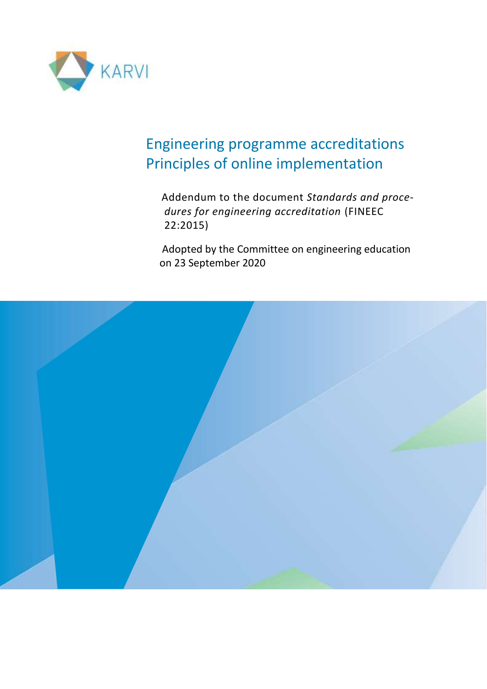

## Engineering programme accreditations Principles of online implementation

 Addendum to the document *Standards and procedures for engineering accreditation* (FINEEC 22:2015)

 Adopted by the Committee on engineering education on 23 September 2020

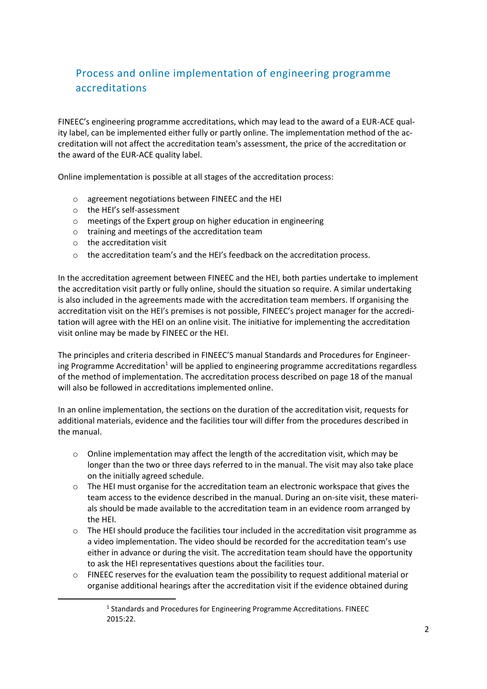## Process and online implementation of engineering programme accreditations

FINEEC's engineering programme accreditations, which may lead to the award of a EUR-ACE quality label, can be implemented either fully or partly online. The implementation method of the accreditation will not affect the accreditation team's assessment, the price of the accreditation or the award of the EUR-ACE quality label.

Online implementation is possible at all stages of the accreditation process:

- o agreement negotiations between FINEEC and the HEI
- o the HEI's self-assessment
- o meetings of the Expert group on higher education in engineering
- o training and meetings of the accreditation team
- o the accreditation visit
- o the accreditation team's and the HEI's feedback on the accreditation process.

In the accreditation agreement between FINEEC and the HEI, both parties undertake to implement the accreditation visit partly or fully online, should the situation so require. A similar undertaking is also included in the agreements made with the accreditation team members. If organising the accreditation visit on the HEI's premises is not possible, FINEEC's project manager for the accreditation will agree with the HEI on an online visit. The initiative for implementing the accreditation visit online may be made by FINEEC or the HEI.

The principles and criteria described in FINEEC'S manual Standards and Procedures for Engineering Programme Accreditation<sup>1</sup> will be applied to engineering programme accreditations regardless of the method of implementation. The accreditation process described on page 18 of the manual will also be followed in accreditations implemented online.

In an online implementation, the sections on the duration of the accreditation visit, requests for additional materials, evidence and the facilities tour will differ from the procedures described in the manual.

- $\circ$  Online implementation may affect the length of the accreditation visit, which may be longer than the two or three days referred to in the manual. The visit may also take place on the initially agreed schedule.
- $\circ$  The HEI must organise for the accreditation team an electronic workspace that gives the team access to the evidence described in the manual. During an on-site visit, these materials should be made available to the accreditation team in an evidence room arranged by the HEI.
- $\circ$  The HEI should produce the facilities tour included in the accreditation visit programme as a video implementation. The video should be recorded for the accreditation team's use either in advance or during the visit. The accreditation team should have the opportunity to ask the HEI representatives questions about the facilities tour.
- $\circ$  FINEEC reserves for the evaluation team the possibility to request additional material or organise additional hearings after the accreditation visit if the evidence obtained during

<sup>&</sup>lt;sup>1</sup> Standards and Procedures for Engineering Programme Accreditations. FINEEC 2015:22.